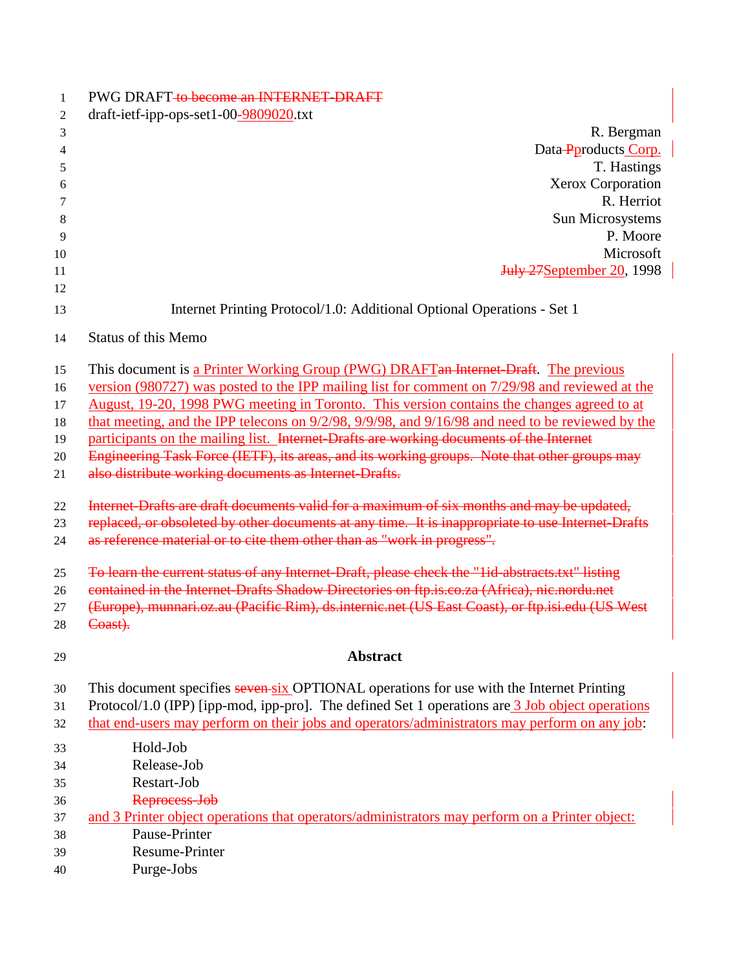| 1  | PWG DRAFT to become an INTERNET-DRAFT                                                             |
|----|---------------------------------------------------------------------------------------------------|
| 2  | draft-ietf-ipp-ops-set1-00-9809020.txt                                                            |
| 3  | R. Bergman                                                                                        |
| 4  | Data-Pproducts Corp.                                                                              |
| 5  | T. Hastings                                                                                       |
| 6  | Xerox Corporation                                                                                 |
| 7  | R. Herriot                                                                                        |
| 8  | Sun Microsystems                                                                                  |
| 9  | P. Moore                                                                                          |
| 10 | Microsoft                                                                                         |
| 11 | <b>July 27September 20, 1998</b>                                                                  |
| 12 |                                                                                                   |
| 13 | Internet Printing Protocol/1.0: Additional Optional Operations - Set 1                            |
| 14 | <b>Status of this Memo</b>                                                                        |
| 15 | This document is a Printer Working Group (PWG) DRAFT an Internet-Draft. The previous              |
| 16 | version (980727) was posted to the IPP mailing list for comment on 7/29/98 and reviewed at the    |
| 17 | August, 19-20, 1998 PWG meeting in Toronto. This version contains the changes agreed to at        |
| 18 | that meeting, and the IPP telecons on 9/2/98, 9/9/98, and 9/16/98 and need to be reviewed by the  |
| 19 | participants on the mailing list. Internet-Drafts are working documents of the Internet           |
| 20 | Engineering Task Force (IETF), its areas, and its working groups. Note that other groups may      |
| 21 | also distribute working documents as Internet Drafts.                                             |
| 22 | Internet-Drafts are draft documents valid for a maximum of six months and may be updated,         |
| 23 | replaced, or obsoleted by other documents at any time. It is inappropriate to use Internet-Drafts |
| 24 | as reference material or to cite them other than as "work in progress".                           |
| 25 | To learn the current status of any Internet-Draft, please check the "lid-abstracts.txt" listing   |
| 26 | contained in the Internet-Drafts Shadow Directories on ftp.is.co.za (Africa), nic.nordu.net       |
| 27 | (Europe), munnari.oz.au (Pacific Rim), ds.internic.net (US East Coast), or ftp.isi.edu (US West   |
| 28 | Coast).                                                                                           |
| 29 | <b>Abstract</b>                                                                                   |
| 30 | This document specifies seven six OPTIONAL operations for use with the Internet Printing          |
| 31 | Protocol/1.0 (IPP) [ipp-mod, ipp-pro]. The defined Set 1 operations are 3 Job object operations   |
| 32 | that end-users may perform on their jobs and operators/administrators may perform on any job:     |
| 33 | Hold-Job                                                                                          |
| 34 | Release-Job                                                                                       |
| 35 | Restart-Job                                                                                       |
| 36 | Reprocess-Job                                                                                     |
| 37 | and 3 Printer object operations that operators/administrators may perform on a Printer object:    |
| 38 | Pause-Printer                                                                                     |
| 39 | Resume-Printer                                                                                    |
| 40 | Purge-Jobs                                                                                        |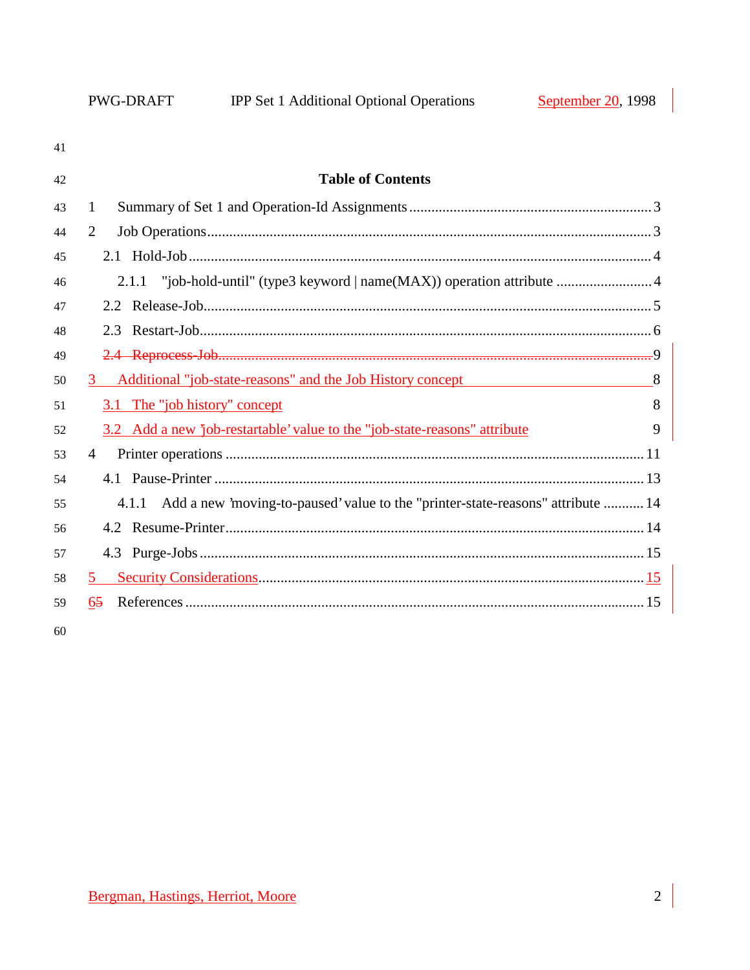| 41 |                                                                                       |
|----|---------------------------------------------------------------------------------------|
| 42 | <b>Table of Contents</b>                                                              |
| 43 | $\mathbf{1}$                                                                          |
| 44 | $\overline{2}$                                                                        |
| 45 |                                                                                       |
| 46 |                                                                                       |
| 47 |                                                                                       |
| 48 |                                                                                       |
| 49 |                                                                                       |
| 50 | Additional "job-state-reasons" and the Job History concept<br>8<br>3 <sup>1</sup>     |
| 51 | 8<br>3.1 The "job history" concept                                                    |
| 52 | 3.2 Add a new job-restartable' value to the "job-state-reasons" attribute<br>9        |
| 53 | $\overline{4}$                                                                        |
| 54 |                                                                                       |
| 55 | 4.1.1 Add a new 'moving-to-paused' value to the "printer-state-reasons" attribute  14 |
| 56 |                                                                                       |
| 57 |                                                                                       |
| 58 | 5                                                                                     |
| 59 | 65                                                                                    |
|    |                                                                                       |

 $60\,$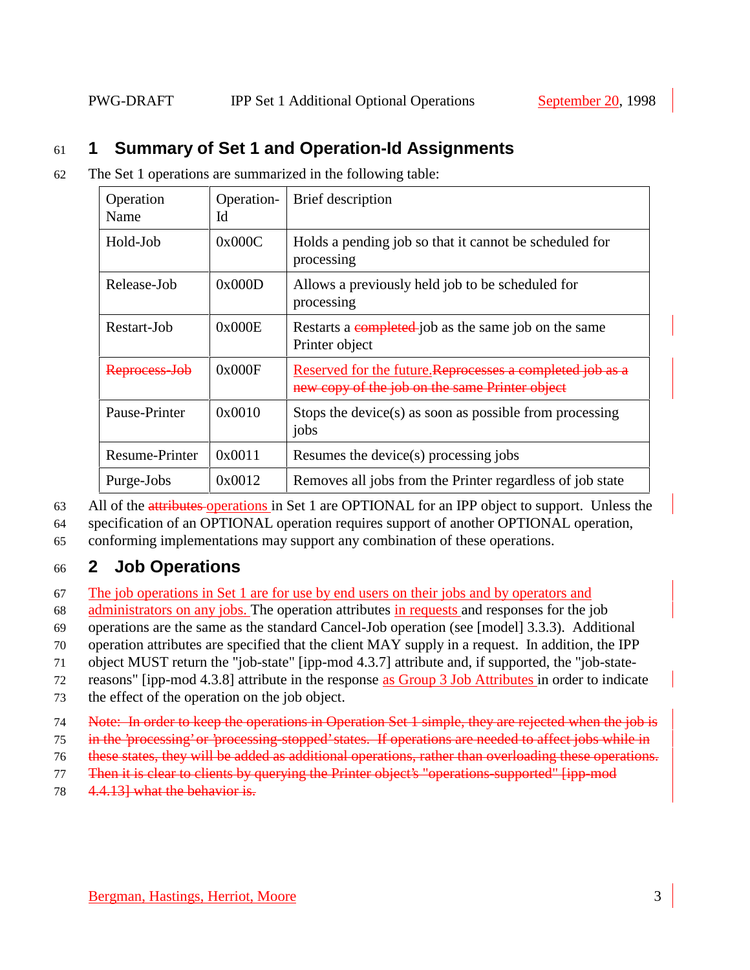## 61 **1 Summary of Set 1 and Operation-Id Assignments**

62 The Set 1 operations are summarized in the following table:

| Operation<br>Name     | Operation-<br>Id | Brief description                                                                                           |
|-----------------------|------------------|-------------------------------------------------------------------------------------------------------------|
| Hold-Job              | 0x000C           | Holds a pending job so that it cannot be scheduled for<br>processing                                        |
| Release-Job           | 0x000D           | Allows a previously held job to be scheduled for<br>processing                                              |
| Restart-Job           | 0x000E           | Restarts a completed job as the same job on the same<br>Printer object                                      |
| Reprocess-Jol         | 0x000F           | Reserved for the future. Reprocesses a completed job as a<br>new copy of the job on the same Printer object |
| Pause-Printer         | 0x0010           | Stops the device( $s$ ) as soon as possible from processing<br>jobs                                         |
| <b>Resume-Printer</b> | 0x0011           | Resumes the device(s) processing jobs                                                                       |
| Purge-Jobs            | 0x0012           | Removes all jobs from the Printer regardless of job state                                                   |

63 All of the attributes operations in Set 1 are OPTIONAL for an IPP object to support. Unless the

64 specification of an OPTIONAL operation requires support of another OPTIONAL operation,

65 conforming implementations may support any combination of these operations.

## 66 **2 Job Operations**

67 The job operations in Set 1 are for use by end users on their jobs and by operators and

68 administrators on any jobs. The operation attributes in requests and responses for the job

69 operations are the same as the standard Cancel-Job operation (see [model] 3.3.3). Additional

70 operation attributes are specified that the client MAY supply in a request. In addition, the IPP

71 object MUST return the "job-state" [ipp-mod 4.3.7] attribute and, if supported, the "job-state-

72 reasons" [ipp-mod 4.3.8] attribute in the response as Group 3 Job Attributes in order to indicate

- 73 the effect of the operation on the job object.
- 74 Note: In order to keep the operations in Operation Set 1 simple, they are rejected when the job is
- 75 in the 'processing' or 'processing-stopped' states. If operations are needed to affect jobs while in
- 76 these states, they will be added as additional operations, rather than overloading these operations.
- 77 Then it is clear to clients by querying the Printer object's "operations-supported" [ipp-mod]
- 78 4.4.13] what the behavior is.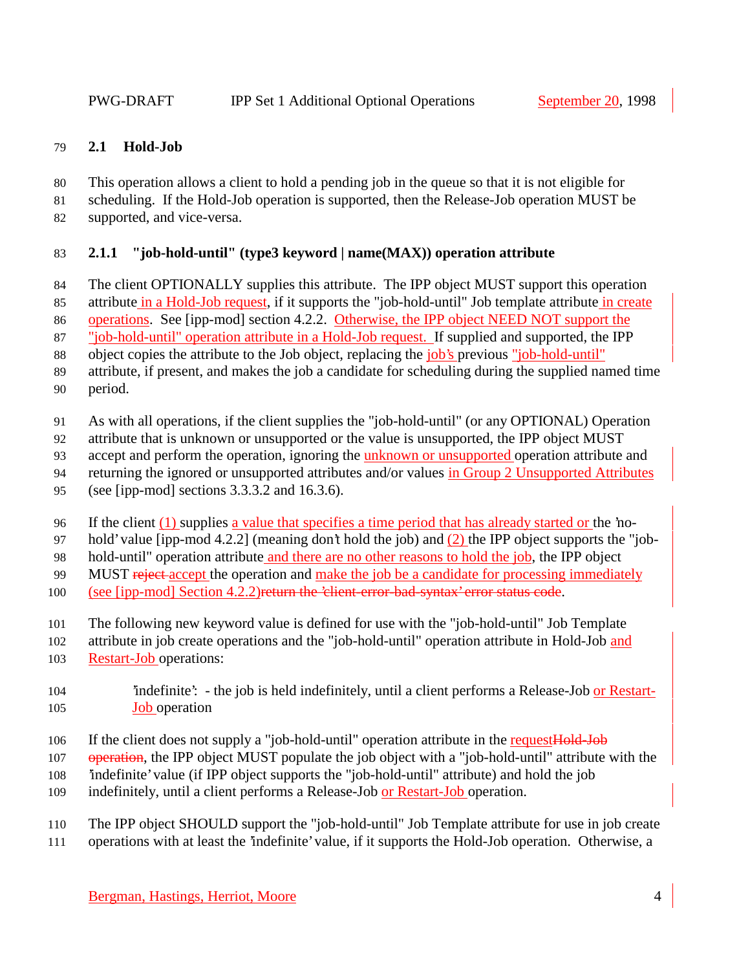## **2.1 Hold-Job**

- This operation allows a client to hold a pending job in the queue so that it is not eligible for
- scheduling. If the Hold-Job operation is supported, then the Release-Job operation MUST be
- supported, and vice-versa.

## **2.1.1 "job-hold-until" (type3 keyword | name(MAX)) operation attribute**

- 84 The client OPTIONALLY supplies this attribute. The IPP object MUST support this operation
- 85 attribute in a Hold-Job request, if it supports the "job-hold-until" Job template attribute in create

operations. See [ipp-mod] section 4.2.2. Otherwise, the IPP object NEED NOT support the

"job-hold-until" operation attribute in a Hold-Job request. If supplied and supported, the IPP

object copies the attribute to the Job object, replacing the job's previous "job-hold-until"

- attribute, if present, and makes the job a candidate for scheduling during the supplied named time
- period.
- As with all operations, if the client supplies the "job-hold-until" (or any OPTIONAL) Operation
- attribute that is unknown or unsupported or the value is unsupported, the IPP object MUST
- accept and perform the operation, ignoring the unknown or unsupported operation attribute and
- returning the ignored or unsupported attributes and/or values in Group 2 Unsupported Attributes
- (see [ipp-mod] sections 3.3.3.2 and 16.3.6).
- If the client (1) supplies a value that specifies a time period that has already started or the 'no-

hold' value [ipp-mod 4.2.2] (meaning don't hold the job) and (2) the IPP object supports the "job-

hold-until" operation attribute and there are no other reasons to hold the job, the IPP object

99 MUST reject-accept the operation and make the job be a candidate for processing immediately

- (see [ipp-mod] Section 4.2.2)return the 'client-error-bad-syntax' error status code.
- The following new keyword value is defined for use with the "job-hold-until" Job Template
- attribute in job create operations and the "job-hold-until" operation attribute in Hold-Job and
- Restart-Job operations:

## 'indefinite': - the job is held indefinitely, until a client performs a Release-Job or Restart-**Job** operation

- 106 If the client does not supply a "job-hold-until" operation attribute in the request Hold-Job
- 107 operation, the IPP object MUST populate the job object with a "job-hold-until" attribute with the
- 'indefinite' value (if IPP object supports the "job-hold-until" attribute) and hold the job
- indefinitely, until a client performs a Release-Job or Restart-Job operation.
- The IPP object SHOULD support the "job-hold-until" Job Template attribute for use in job create
- operations with at least the 'indefinite' value, if it supports the Hold-Job operation. Otherwise, a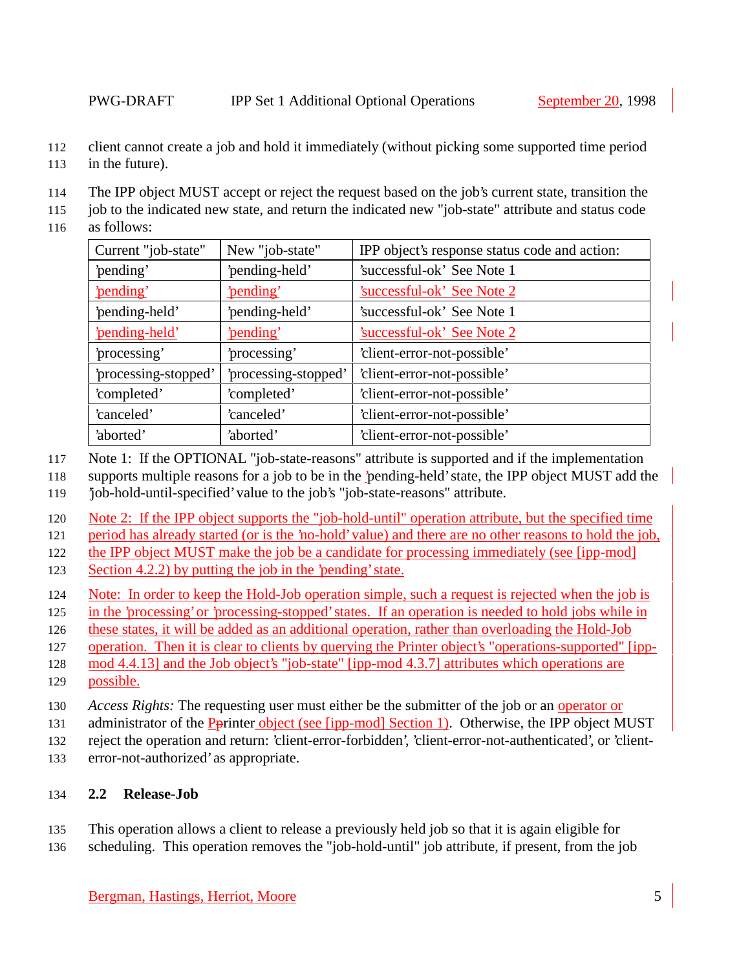- client cannot create a job and hold it immediately (without picking some supported time period
- in the future).
- The IPP object MUST accept or reject the request based on the job's current state, transition the
- job to the indicated new state, and return the indicated new "job-state" attribute and status code
- as follows:

| Current "job-state"  | New "job-state"      | IPP object's response status code and action: |
|----------------------|----------------------|-----------------------------------------------|
| 'pending'            | 'pending-held'       | 'successful-ok' See Note 1                    |
| 'pending'            | 'pending'            | <u>'successful-ok' See Note 2</u>             |
| 'pending-held'       | 'pending-held'       | 'successful-ok' See Note 1                    |
| 'pending-held'       | 'pending'            | Successful-ok' See Note 2                     |
| 'processing'         | 'processing'         | 'client-error-not-possible'                   |
| 'processing-stopped' | 'processing-stopped' | 'client-error-not-possible'                   |
| 'completed'          | 'completed'          | 'client-error-not-possible'                   |
| 'canceled'           | 'canceled'           | 'client-error-not-possible'                   |
| 'aborted'            | 'aborted'            | 'client-error-not-possible'                   |

- Note 1: If the OPTIONAL "job-state-reasons" attribute is supported and if the implementation
- supports multiple reasons for a job to be in the 'pending-held' state, the IPP object MUST add the
- 'job-hold-until-specified' value to the job's "job-state-reasons" attribute.
- Note 2: If the IPP object supports the "job-hold-until" operation attribute, but the specified time
- period has already started (or is the 'no-hold' value) and there are no other reasons to hold the job,
- the IPP object MUST make the job be a candidate for processing immediately (see [ipp-mod]
- 123 Section 4.2.2) by putting the job in the 'pending' state.
- Note: In order to keep the Hold-Job operation simple, such a request is rejected when the job is
- in the 'processing' or 'processing-stopped' states. If an operation is needed to hold jobs while in
- these states, it will be added as an additional operation, rather than overloading the Hold-Job
- operation. Then it is clear to clients by querying the Printer object's "operations-supported" [ipp-
- mod 4.4.13] and the Job object's "job-state" [ipp-mod 4.3.7] attributes which operations are
- possible.
- *Access Rights:* The requesting user must either be the submitter of the job or an operator or
- 131 administrator of the Pprinter object (see [ipp-mod] Section 1). Otherwise, the IPP object MUST
- reject the operation and return: 'client-error-forbidden', 'client-error-not-authenticated', or 'client-
- error-not-authorized' as appropriate.

## **2.2 Release-Job**

- This operation allows a client to release a previously held job so that it is again eligible for
- scheduling. This operation removes the "job-hold-until" job attribute, if present, from the job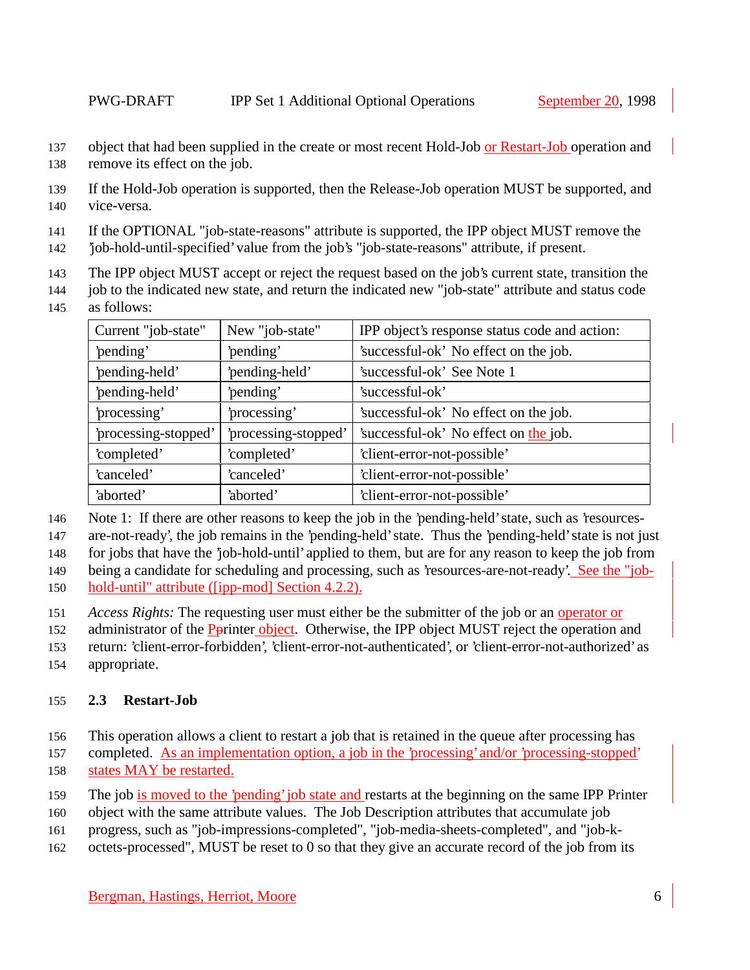- 137 object that had been supplied in the create or most recent Hold-Job or Restart-Job operation and remove its effect on the job.
- If the Hold-Job operation is supported, then the Release-Job operation MUST be supported, and vice-versa.
- If the OPTIONAL "job-state-reasons" attribute is supported, the IPP object MUST remove the
- 'job-hold-until-specified' value from the job's "job-state-reasons" attribute, if present.
- The IPP object MUST accept or reject the request based on the job's current state, transition the
- job to the indicated new state, and return the indicated new "job-state" attribute and status code
- as follows:

| Current "job-state"  | New "job-state"      | IPP object's response status code and action: |
|----------------------|----------------------|-----------------------------------------------|
| 'pending'            | 'pending'            | 'successful-ok' No effect on the job.         |
| 'pending-held'       | 'pending-held'       | 'successful-ok' See Note 1                    |
| 'pending-held'       | 'pending'            | 'successful-ok'                               |
| 'processing'         | 'processing'         | 'successful-ok' No effect on the job.         |
| 'processing-stopped' | 'processing-stopped' | 'successful-ok' No effect on the job.         |
| 'completed'          | 'completed'          | 'client-error-not-possible'                   |
| 'canceled'           | 'canceled'           | 'client-error-not-possible'                   |
| 'aborted'            | 'aborted'            | 'client-error-not-possible'                   |

Note 1: If there are other reasons to keep the job in the 'pending-held' state, such as 'resources-

are-not-ready', the job remains in the 'pending-held' state. Thus the 'pending-held' state is not just

for jobs that have the 'job-hold-until' applied to them, but are for any reason to keep the job from

being a candidate for scheduling and processing, such as 'resources-are-not-ready'. See the "job-

- hold-until" attribute ([ipp-mod] Section 4.2.2).
- *Access Rights:* The requesting user must either be the submitter of the job or an operator or
- 152 administrator of the Pprinter object. Otherwise, the IPP object MUST reject the operation and
- return: 'client-error-forbidden', 'client-error-not-authenticated', or 'client-error-not-authorized' as
- appropriate.

#### **2.3 Restart-Job**

- This operation allows a client to restart a job that is retained in the queue after processing has
- completed. As an implementation option, a job in the 'processing' and/or 'processing-stopped'
- states MAY be restarted.
- The job is moved to the 'pending' job state and restarts at the beginning on the same IPP Printer
- object with the same attribute values. The Job Description attributes that accumulate job
- progress, such as "job-impressions-completed", "job-media-sheets-completed", and "job-k-
- octets-processed", MUST be reset to 0 so that they give an accurate record of the job from its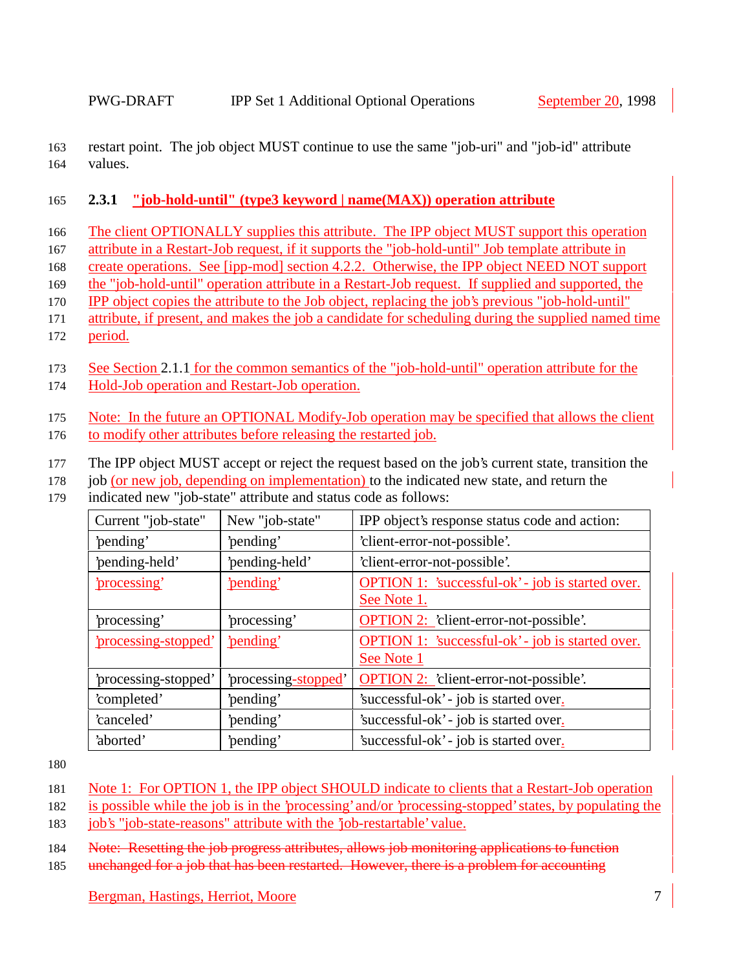163 restart point. The job object MUST continue to use the same "job-uri" and "job-id" attribute 164 values.

## 165 **2.3.1 "job-hold-until" (type3 keyword | name(MAX)) operation attribute**

166 The client OPTIONALLY supplies this attribute. The IPP object MUST support this operation

- 167 attribute in a Restart-Job request, if it supports the "job-hold-until" Job template attribute in
- 168 create operations. See [ipp-mod] section 4.2.2. Otherwise, the IPP object NEED NOT support
- 169 the "job-hold-until" operation attribute in a Restart-Job request. If supplied and supported, the
- 170 IPP object copies the attribute to the Job object, replacing the job's previous "job-hold-until"
- 171 attribute, if present, and makes the job a candidate for scheduling during the supplied named time 172 period.
- 173 See Section 2.1.1 for the common semantics of the "job-hold-until" operation attribute for the 174 Hold-Job operation and Restart-Job operation.

175 Note: In the future an OPTIONAL Modify-Job operation may be specified that allows the client

- 176 to modify other attributes before releasing the restarted job.
- 177 The IPP object MUST accept or reject the request based on the job's current state, transition the
- 178 job (or new job, depending on implementation) to the indicated new state, and return the
- 179 indicated new "job-state" attribute and status code as follows:

| Current "job-state"  | New "job-state"      | IPP object's response status code and action:           |
|----------------------|----------------------|---------------------------------------------------------|
| 'pending'            | 'pending'            | 'client-error-not-possible'.                            |
| 'pending-held'       | 'pending-held'       | 'client-error-not-possible'.                            |
| 'processing'         | 'pending'            | <b>OPTION 1:</b> 'successful-ok' - job is started over. |
|                      |                      | See Note 1.                                             |
| 'processing'         | processing'          | <b>OPTION 2:</b> 'client-error-not-possible'.           |
| 'processing-stopped' | 'pending'            | <b>OPTION 1:</b> 'successful-ok' - job is started over. |
|                      |                      | See Note 1                                              |
| 'processing-stopped' | 'processing-stopped' | <b>OPTION 2:</b> 'client-error-not-possible'.           |
| 'completed'          | 'pending'            | 'successful-ok' - job is started over.                  |
| 'canceled'           | 'pending'            | 'successful-ok' - job is started over.                  |
| 'aborted'            | 'pending'            | 'successful-ok' - job is started over.                  |

180

- 182 is possible while the job is in the 'processing' and/or 'processing-stopped' states, by populating the
- 183 job's "job-state-reasons" attribute with the 'job-restartable' value.

184 Note: Resetting the job progress attributes, allows job monitoring applications to function

185 unchanged for a job that has been restarted. However, there is a problem for accounting

<sup>181</sup> Note 1: For OPTION 1, the IPP object SHOULD indicate to clients that a Restart-Job operation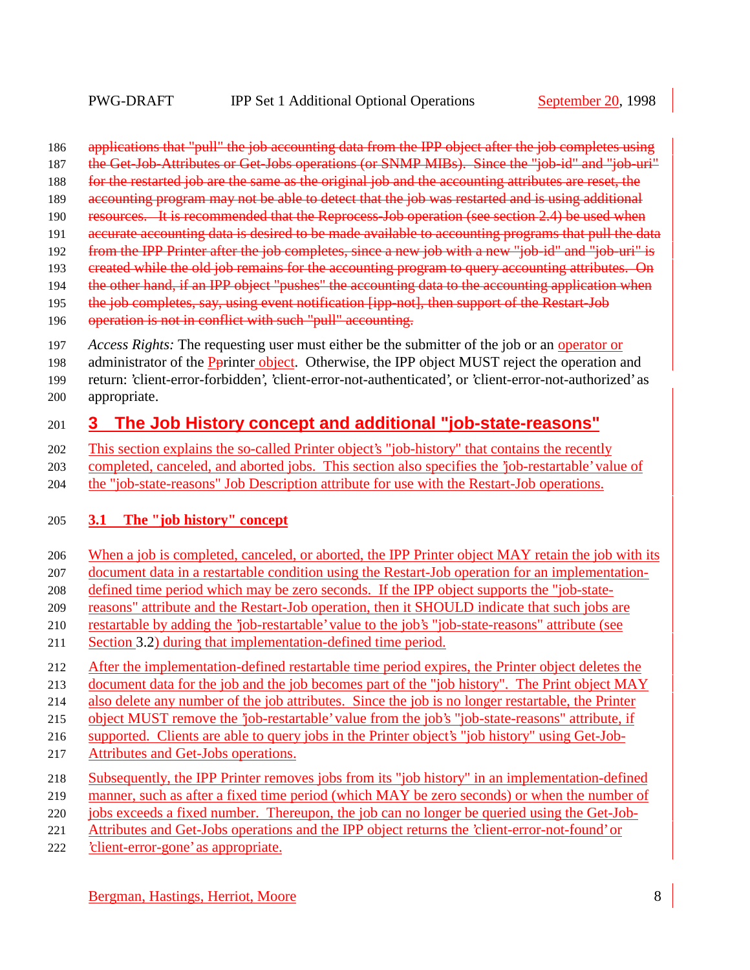- 186 applications that "pull" the job accounting data from the IPP object after the job completes using
- 187 the Get-Job-Attributes or Get-Jobs operations (or SNMP MIBs). Since the "job-id" and "job-uri"
- 188 for the restarted job are the same as the original job and the accounting attributes are reset, the
- 189 accounting program may not be able to detect that the job was restarted and is using additional
- 190 resources. It is recommended that the Reprocess-Job operation (see section 2.4) be used when
- accurate accounting data is desired to be made available to accounting programs that pull the data
- 192 from the IPP Printer after the job completes, since a new job with a new "job-id" and "job-uri" is
- 193 created while the old job remains for the accounting program to query accounting attributes. On
- 194 the other hand, if an IPP object "pushes" the accounting data to the accounting application when
- 195 the job completes, say, using event notification [ipp-not], then support of the Restart-Job
- 196 operation is not in conflict with such "pull" accounting.
- *Access Rights:* The requesting user must either be the submitter of the job or an operator or
- 198 administrator of the Pprinter object. Otherwise, the IPP object MUST reject the operation and
- return: 'client-error-forbidden', 'client-error-not-authenticated', or 'client-error-not-authorized' as
- appropriate.

## **3 The Job History concept and additional "job-state-reasons"**

- This section explains the so-called Printer object's "job-history" that contains the recently
- completed, canceled, and aborted jobs. This section also specifies the 'job-restartable' value of
- the "job-state-reasons" Job Description attribute for use with the Restart-Job operations.

## **3.1 The "job history" concept**

- When a job is completed, canceled, or aborted, the IPP Printer object MAY retain the job with its
- document data in a restartable condition using the Restart-Job operation for an implementation-
- defined time period which may be zero seconds. If the IPP object supports the "job-state-
- reasons" attribute and the Restart-Job operation, then it SHOULD indicate that such jobs are
- restartable by adding the 'job-restartable' value to the job's "job-state-reasons" attribute (see
- Section 3.2) during that implementation-defined time period.
- 212 After the implementation-defined restartable time period expires, the Printer object deletes the
- 213 document data for the job and the job becomes part of the "job history". The Print object MAY
- also delete any number of the job attributes. Since the job is no longer restartable, the Printer
- object MUST remove the 'job-restartable' value from the job's "job-state-reasons" attribute, if
- supported. Clients are able to query jobs in the Printer object's "job history" using Get-Job-
- Attributes and Get-Jobs operations.
- Subsequently, the IPP Printer removes jobs from its "job history" in an implementation-defined
- manner, such as after a fixed time period (which MAY be zero seconds) or when the number of
- jobs exceeds a fixed number. Thereupon, the job can no longer be queried using the Get-Job-
- Attributes and Get-Jobs operations and the IPP object returns the 'client-error-not-found' or
- 'client-error-gone' as appropriate.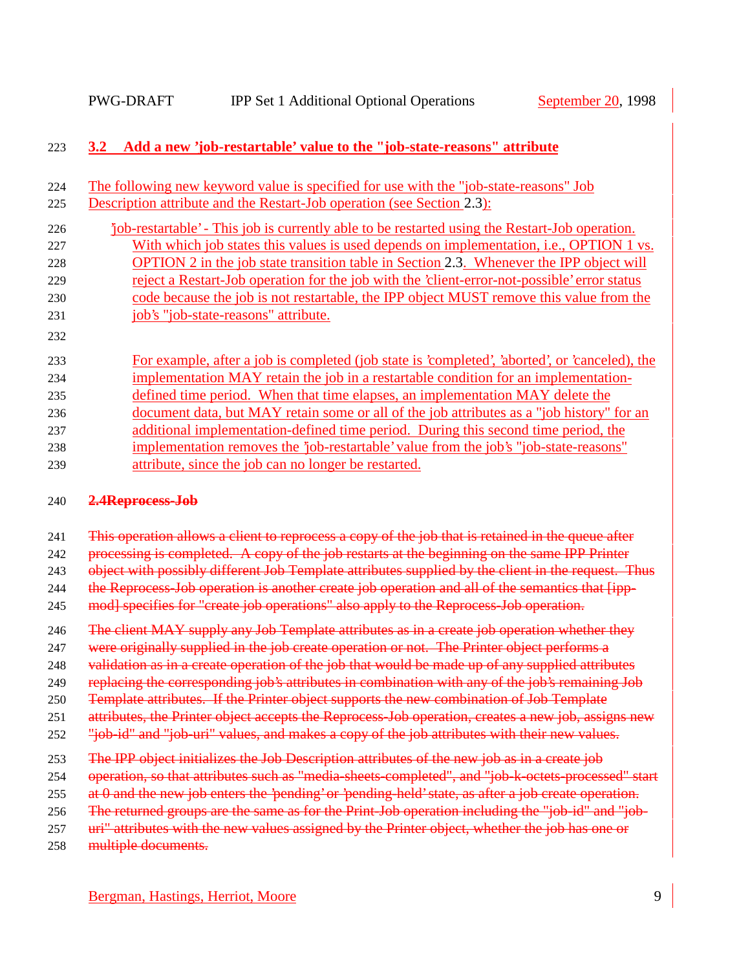## 223 **3.2 Add a new 'job-restartable' value to the "job-state-reasons" attribute**

| 224 | The following new keyword value is specified for use with the "job-state-reasons" Job          |
|-----|------------------------------------------------------------------------------------------------|
| 225 | Description attribute and the Restart-Job operation (see Section 2.3):                         |
| 226 | job-restartable' - This job is currently able to be restarted using the Restart-Job operation. |
| 227 | With which job states this values is used depends on implementation, i.e., OPTION 1 vs.        |
| 228 | OPTION 2 in the job state transition table in Section 2.3. Whenever the IPP object will        |
| 229 | reject a Restart-Job operation for the job with the 'client-error-not-possible' error status   |
| 230 | code because the job is not restartable, the IPP object MUST remove this value from the        |
| 231 | job's "job-state-reasons" attribute.                                                           |
| 232 |                                                                                                |
| 233 | For example, after a job is completed (job state is 'completed', 'aborted', or 'canceled), the |
| 234 | implementation MAY retain the job in a restartable condition for an implementation-            |
| 235 | defined time period. When that time elapses, an implementation MAY delete the                  |
| 236 | document data, but MAY retain some or all of the job attributes as a "job history" for an      |
| 237 | additional implementation-defined time period. During this second time period, the             |
| 238 | implementation removes the 'job-restartable' value from the job's "job-state-reasons"          |
| 239 | attribute, since the job can no longer be restarted.                                           |

#### 240 **2.4Reprocess-Job**

241 This operation allows a client to reprocess a copy of the job that is retained in the queue after

242 processing is completed. A copy of the job restarts at the beginning on the same IPP Printer

243 object with possibly different Job Template attributes supplied by the client in the request. Thus

244 the Reprocess-Job operation is another create job operation and all of the semantics that [ipp-

245 mod] specifies for "create job operations" also apply to the Reprocess-Job operation.

- 246 The client MAY supply any Job Template attributes as in a create job operation whether they
- 247 were originally supplied in the job create operation or not. The Printer object performs a
- 248 validation as in a create operation of the job that would be made up of any supplied attributes
- 249 replacing the corresponding job's attributes in combination with any of the job's remaining Job
- 250 Template attributes. If the Printer object supports the new combination of Job Template
- 251 attributes, the Printer object accepts the Reprocess-Job operation, creates a new job, assigns new
- 252 "iob-id" and "job-uri" values, and makes a copy of the job attributes with their new values.
- 253 The IPP object initializes the Job Description attributes of the new job as in a create job
- 254 operation, so that attributes such as "media-sheets-completed", and "job-k-octets-processed" start
- 255 at 0 and the new job enters the 'pending' or 'pending-held' state, as after a job create operation.
- 256 The returned groups are the same as for the Print-Job operation including the "job-id" and "job-
- 257 uri" attributes with the new values assigned by the Printer object, whether the job has one or
- 258 multiple documents.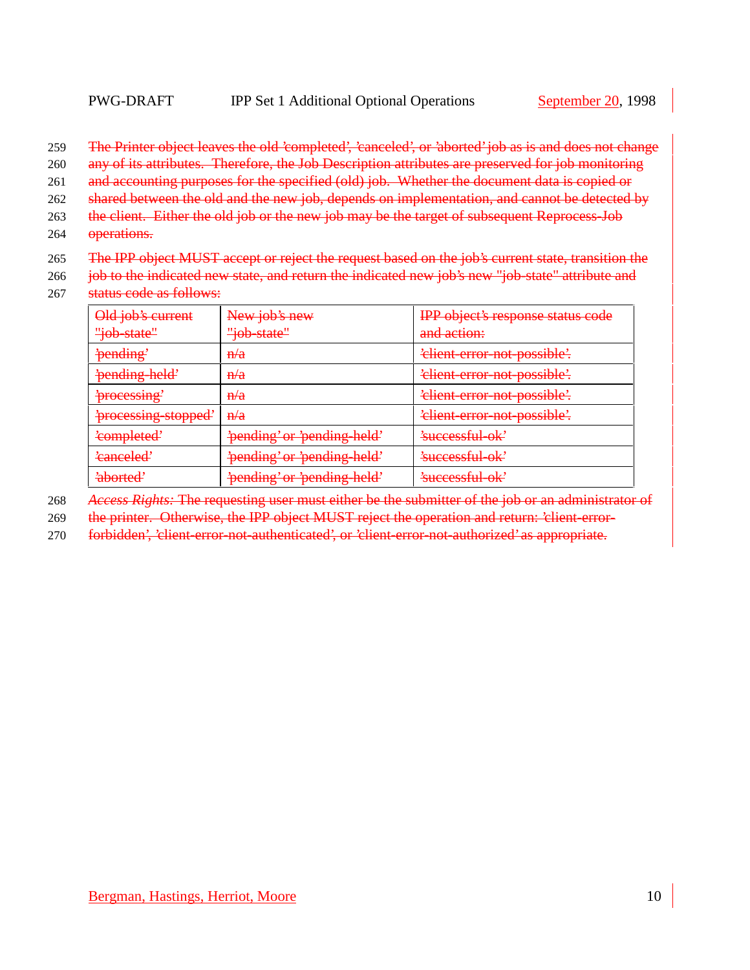- 259 The Printer object leaves the old 'completed', 'canceled', or 'aborted' job as is and does not change
- 260 any of its attributes. Therefore, the Job Description attributes are preserved for job monitoring
- 261 and accounting purposes for the specified (old) job. Whether the document data is copied or
- 262 shared between the old and the new job, depends on implementation, and cannot be detected by
- 263 the client. Either the old job or the new job may be the target of subsequent Reprocess-Job
- 264 **operations.**
- 265 The IPP object MUST accept or reject the request based on the job's current state, transition the
- 266 job to the indicated new state, and return the indicated new job's new "job-state" attribute and
- 267 status code as follows:

| Old job's current<br>"job-state" | New job's new<br><del>"job-state"</del> | <b>IPP</b> object's response status code<br>and action: |
|----------------------------------|-----------------------------------------|---------------------------------------------------------|
| 'pending'                        | $H\rightarrow H$                        | 'elient-error-not-possible'.                            |
| 'pending held'                   | H/a                                     | 'elient error not possible'.                            |
| 'processing'                     | $H\rightarrow H$                        | 'elient-error-not-possible'.                            |
| 'processing-stopped'             | H/a                                     | 'elient-error-not-possible'.                            |
| 'completed'                      | 'pending' or 'pending-held'             | 'successful-ok'                                         |
| 'canceled'                       | 'pending' or 'pending-held'             | 'successful-ok'                                         |
| <u>'ahorted'</u>                 | 'pending' or 'pending held'             | $\ell$ uccossful ok<br>nuutammuutti                     |

- 268 *Access Rights:* The requesting user must either be the submitter of the job or an administrator of
- 269 the printer. Otherwise, the IPP object MUST reject the operation and return: 'client-error-
- 270 forbidden', 'client-error-not-authenticated', or 'client-error-not-authorized' as appropriate.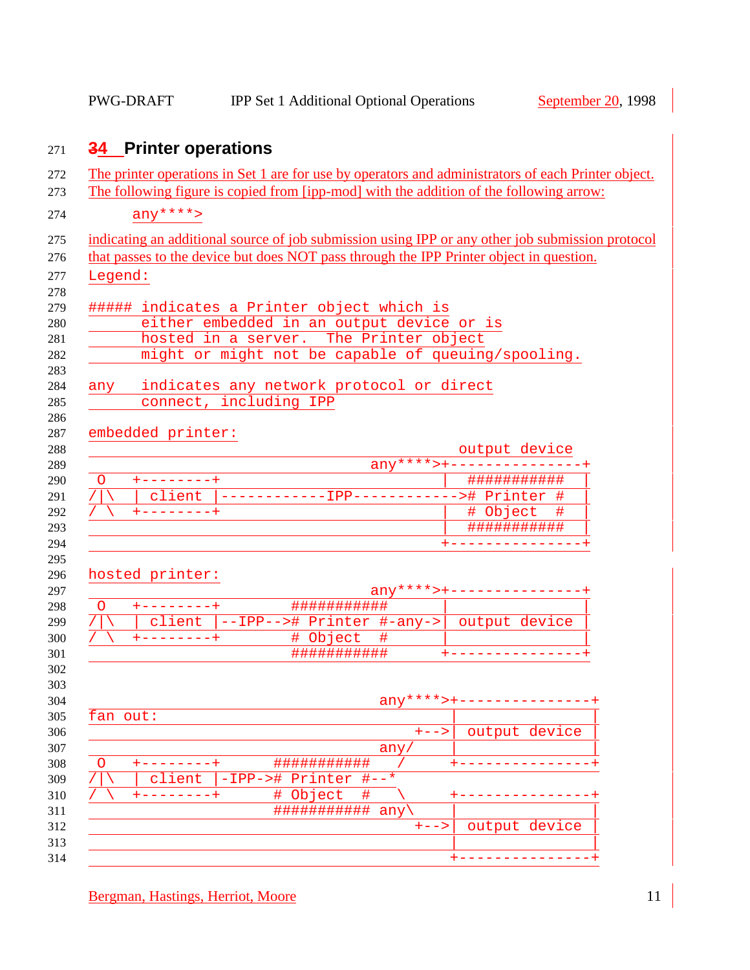# **34 Printer operations**

|          |                     |                                                                |           | The printer operations in Set 1 are for use by operators and administrators of each Printer object.<br>The following figure is copied from [ipp-mod] with the addition of the following arrow: |
|----------|---------------------|----------------------------------------------------------------|-----------|------------------------------------------------------------------------------------------------------------------------------------------------------------------------------------------------|
|          | $any***$            |                                                                |           |                                                                                                                                                                                                |
|          |                     |                                                                |           |                                                                                                                                                                                                |
|          |                     |                                                                |           | indicating an additional source of job submission using IPP or any other job submission protocol<br>that passes to the device but does NOT pass through the IPP Printer object in question.    |
| Legend:  |                     |                                                                |           |                                                                                                                                                                                                |
|          |                     |                                                                |           |                                                                                                                                                                                                |
|          |                     | ##### indicates a Printer object which is                      |           |                                                                                                                                                                                                |
|          |                     | either embedded in an output device or is                      |           |                                                                                                                                                                                                |
|          |                     | hosted in a server. The Printer object                         |           |                                                                                                                                                                                                |
|          |                     | might or might not be capable of queuing/spooling.             |           |                                                                                                                                                                                                |
| any      |                     | indicates any network protocol or direct                       |           |                                                                                                                                                                                                |
|          |                     | connect, including IPP                                         |           |                                                                                                                                                                                                |
|          |                     |                                                                |           |                                                                                                                                                                                                |
|          | embedded printer:   |                                                                |           |                                                                                                                                                                                                |
|          |                     |                                                                |           | output device<br>$any****+--------------+$                                                                                                                                                     |
| $\circ$  | $+ - - - - - - - +$ |                                                                |           | ###########                                                                                                                                                                                    |
|          |                     | client  ------------IPP------------># Printer #                |           |                                                                                                                                                                                                |
|          | $+ - - - - - - - +$ |                                                                |           | # Object                                                                                                                                                                                       |
|          |                     |                                                                |           | ###########                                                                                                                                                                                    |
|          |                     |                                                                |           | +-------------                                                                                                                                                                                 |
|          | hosted printer:     |                                                                |           |                                                                                                                                                                                                |
|          |                     |                                                                |           | $\text{any}$ ****>+--------------                                                                                                                                                              |
| $\circ$  | $+ - - - - - - - +$ | ###########                                                    |           |                                                                                                                                                                                                |
|          |                     | client $\vert$ --IPP--># Printer #-any-> $\vert$ output device |           |                                                                                                                                                                                                |
|          | $+ - - - - - - - +$ | # Object                                                       | #         |                                                                                                                                                                                                |
|          |                     | ###########                                                    |           |                                                                                                                                                                                                |
|          |                     |                                                                |           |                                                                                                                                                                                                |
|          |                     |                                                                |           | $\frac{any***+-----------------}{}$                                                                                                                                                            |
| fan out: |                     |                                                                |           |                                                                                                                                                                                                |
|          |                     |                                                                | $+ - - >$ | output device                                                                                                                                                                                  |
|          |                     |                                                                | any,      |                                                                                                                                                                                                |
| O        | client              | ###########<br>-IPP-># Printer #--*                            |           |                                                                                                                                                                                                |
|          |                     | # Object                                                       | #         |                                                                                                                                                                                                |
|          |                     | ###########                                                    | any       |                                                                                                                                                                                                |
|          |                     |                                                                | $+ - - >$ | output device                                                                                                                                                                                  |
|          |                     |                                                                |           |                                                                                                                                                                                                |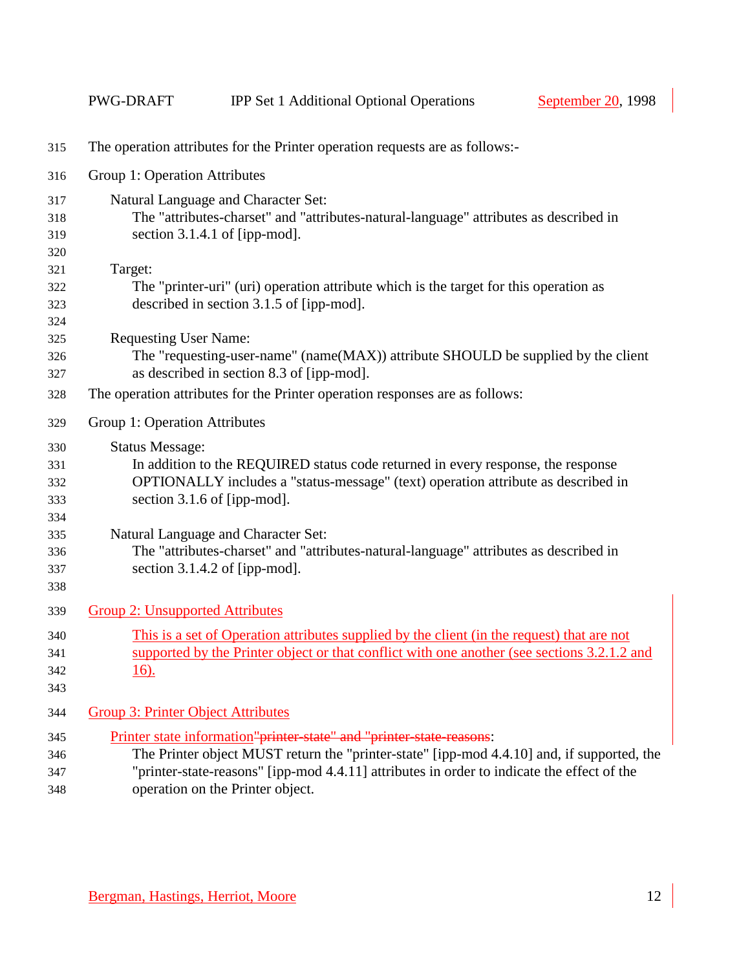| 315                                                         | The operation attributes for the Printer operation requests are as follows:-                                                                                                                                                                                                                                                                                                                      |
|-------------------------------------------------------------|---------------------------------------------------------------------------------------------------------------------------------------------------------------------------------------------------------------------------------------------------------------------------------------------------------------------------------------------------------------------------------------------------|
| 316                                                         | Group 1: Operation Attributes                                                                                                                                                                                                                                                                                                                                                                     |
| 317<br>318<br>319<br>320                                    | Natural Language and Character Set:<br>The "attributes-charset" and "attributes-natural-language" attributes as described in<br>section 3.1.4.1 of [ipp-mod].                                                                                                                                                                                                                                     |
| 321<br>322<br>323<br>324                                    | Target:<br>The "printer-uri" (uri) operation attribute which is the target for this operation as<br>described in section 3.1.5 of [ipp-mod].                                                                                                                                                                                                                                                      |
| 325<br>326<br>327                                           | <b>Requesting User Name:</b><br>The "requesting-user-name" (name(MAX)) attribute SHOULD be supplied by the client<br>as described in section 8.3 of [ipp-mod].                                                                                                                                                                                                                                    |
| 328                                                         | The operation attributes for the Printer operation responses are as follows:                                                                                                                                                                                                                                                                                                                      |
| 329                                                         | Group 1: Operation Attributes                                                                                                                                                                                                                                                                                                                                                                     |
| 330<br>331<br>332<br>333<br>334<br>335<br>336<br>337<br>338 | <b>Status Message:</b><br>In addition to the REQUIRED status code returned in every response, the response<br>OPTIONALLY includes a "status-message" (text) operation attribute as described in<br>section 3.1.6 of [ipp-mod].<br>Natural Language and Character Set:<br>The "attributes-charset" and "attributes-natural-language" attributes as described in<br>section $3.1.4.2$ of [ipp-mod]. |
| 339                                                         | <b>Group 2: Unsupported Attributes</b>                                                                                                                                                                                                                                                                                                                                                            |
| 340<br>341<br>342<br>343                                    | This is a set of Operation attributes supplied by the client (in the request) that are not<br>supported by the Printer object or that conflict with one another (see sections 3.2.1.2 and<br><u>16).</u>                                                                                                                                                                                          |
| 344                                                         | <b>Group 3: Printer Object Attributes</b>                                                                                                                                                                                                                                                                                                                                                         |
| 345<br>346<br>347<br>348                                    | Printer state information"printer state" and "printer state reasons:<br>The Printer object MUST return the "printer-state" [ipp-mod 4.4.10] and, if supported, the<br>"printer-state-reasons" [ipp-mod 4.4.11] attributes in order to indicate the effect of the<br>operation on the Printer object.                                                                                              |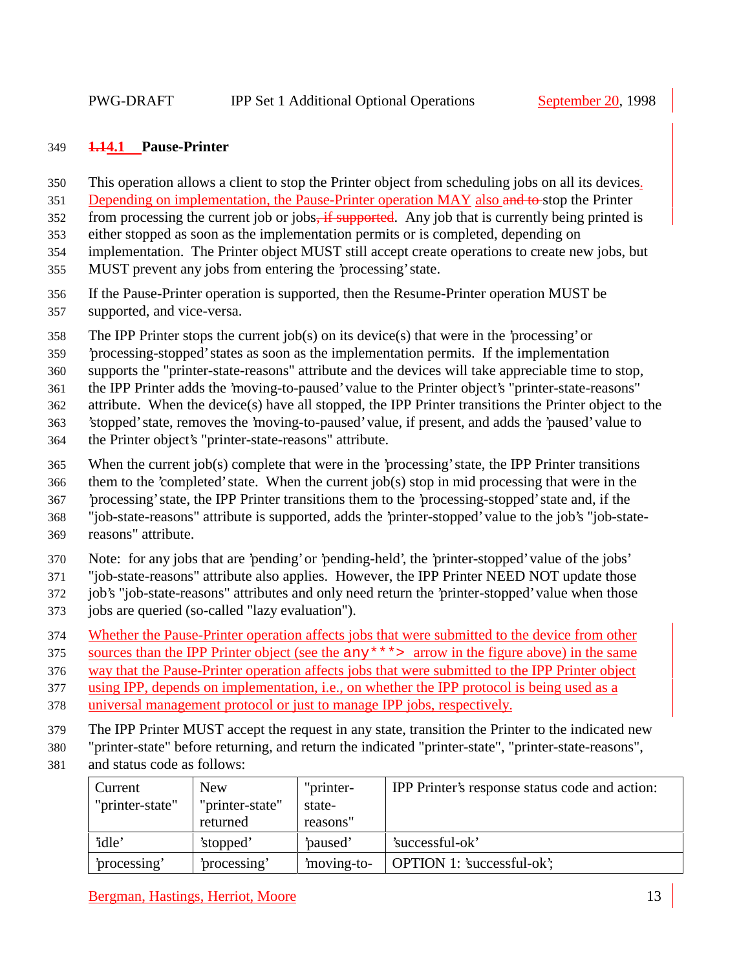## **1.14.1 Pause-Printer**

- This operation allows a client to stop the Printer object from scheduling jobs on all its devices.
- 351 Depending on implementation, the Pause-Printer operation MAY also and to-stop the Printer
- 352 from processing the current job or jobs, if supported. Any job that is currently being printed is
- either stopped as soon as the implementation permits or is completed, depending on
- implementation. The Printer object MUST still accept create operations to create new jobs, but
- MUST prevent any jobs from entering the 'processing' state.
- If the Pause-Printer operation is supported, then the Resume-Printer operation MUST be supported, and vice-versa.
- The IPP Printer stops the current job(s) on its device(s) that were in the 'processing' or
- 'processing-stopped' states as soon as the implementation permits. If the implementation
- supports the "printer-state-reasons" attribute and the devices will take appreciable time to stop,
- the IPP Printer adds the 'moving-to-paused' value to the Printer object's "printer-state-reasons"
- attribute. When the device(s) have all stopped, the IPP Printer transitions the Printer object to the
- 'stopped' state, removes the 'moving-to-paused' value, if present, and adds the 'paused' value to
- the Printer object's "printer-state-reasons" attribute.
- When the current job(s) complete that were in the 'processing' state, the IPP Printer transitions
- them to the 'completed' state. When the current job(s) stop in mid processing that were in the
- 'processing' state, the IPP Printer transitions them to the 'processing-stopped' state and, if the
- "job-state-reasons" attribute is supported, adds the 'printer-stopped' value to the job's "job-state-
- reasons" attribute.
- Note: for any jobs that are 'pending' or 'pending-held', the 'printer-stopped' value of the jobs'
- "job-state-reasons" attribute also applies. However, the IPP Printer NEED NOT update those
- job's "job-state-reasons" attributes and only need return the 'printer-stopped' value when those
- jobs are queried (so-called "lazy evaluation").
- Whether the Pause-Printer operation affects jobs that were submitted to the device from other
- sources than the IPP Printer object (see the any\*\*\*> arrow in the figure above) in the same
- way that the Pause-Printer operation affects jobs that were submitted to the IPP Printer object
- using IPP, depends on implementation, i.e., on whether the IPP protocol is being used as a
- universal management protocol or just to manage IPP jobs, respectively.
- The IPP Printer MUST accept the request in any state, transition the Printer to the indicated new
- "printer-state" before returning, and return the indicated "printer-state", "printer-state-reasons",
- and status code as follows:

| Current         | <b>New</b>      | "printer-  | IPP Printer's response status code and action: |
|-----------------|-----------------|------------|------------------------------------------------|
| "printer-state" | "printer-state" | state-     |                                                |
|                 | returned        | reasons"   |                                                |
| 'idle'          | 'stopped'       | paused'    | 'successful-ok'                                |
| processing'     | processing'     | moving-to- | <b>OPTION 1: 'successful-ok';</b>              |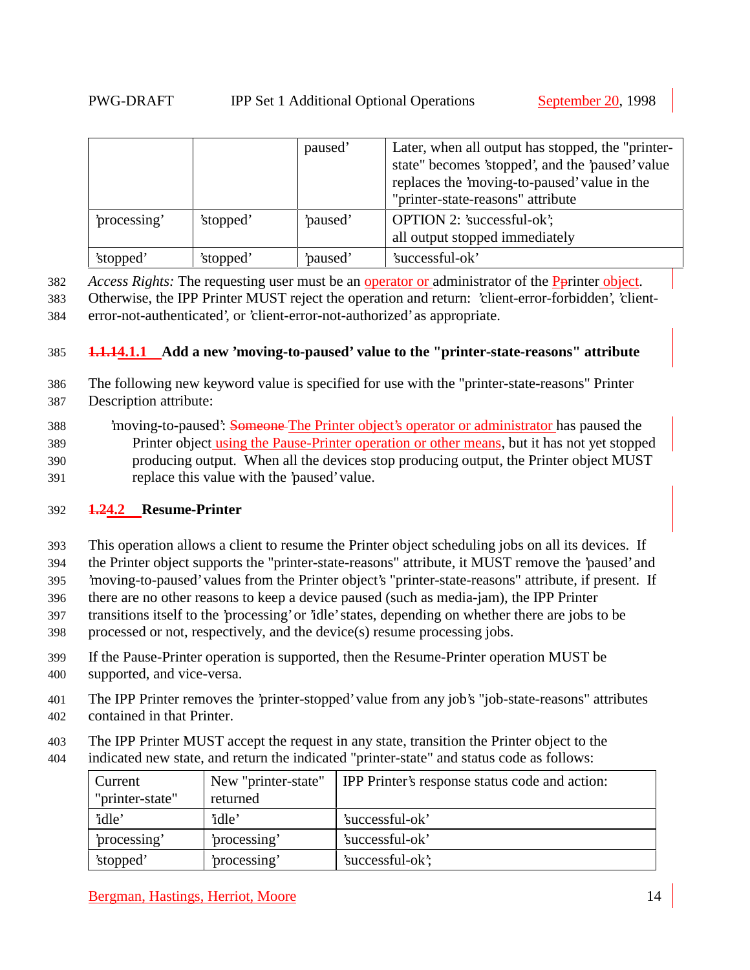|              |           | paused' | Later, when all output has stopped, the "printer-<br>state" becomes 'stopped', and the 'paused' value<br>replaces the 'moving-to-paused' value in the<br>"printer-state-reasons" attribute |
|--------------|-----------|---------|--------------------------------------------------------------------------------------------------------------------------------------------------------------------------------------------|
| 'processing' | 'stopped' | paused' | <b>OPTION 2: 'successful-ok';</b><br>all output stopped immediately                                                                                                                        |
| 'stopped'    | 'stopped' | paused' | 'successful-ok'                                                                                                                                                                            |

382 *Access Rights:* The requesting user must be an operator or administrator of the Pprinter object.

383 Otherwise, the IPP Printer MUST reject the operation and return: 'client-error-forbidden', 'client-384 error-not-authenticated', or 'client-error-not-authorized' as appropriate.

#### 385 **1.1.14.1.1 Add a new 'moving-to-paused' value to the "printer-state-reasons" attribute**

- 386 The following new keyword value is specified for use with the "printer-state-reasons" Printer 387 Description attribute:
- 388 'moving-to-paused': Someone The Printer object's operator or administrator has paused the 389 Printer object using the Pause-Printer operation or other means, but it has not yet stopped 390 producing output. When all the devices stop producing output, the Printer object MUST 391 replace this value with the 'paused' value.

## 392 **1.24.2 Resume-Printer**

393 This operation allows a client to resume the Printer object scheduling jobs on all its devices. If

- 394 the Printer object supports the "printer-state-reasons" attribute, it MUST remove the 'paused' and
- 395 'moving-to-paused' values from the Printer object's "printer-state-reasons" attribute, if present. If
- 396 there are no other reasons to keep a device paused (such as media-jam), the IPP Printer
- 397 transitions itself to the 'processing' or 'idle' states, depending on whether there are jobs to be
- 398 processed or not, respectively, and the device(s) resume processing jobs.
- 399 If the Pause-Printer operation is supported, then the Resume-Printer operation MUST be
- 400 supported, and vice-versa.
- 401 The IPP Printer removes the 'printer-stopped' value from any job's "job-state-reasons" attributes 402 contained in that Printer.
- 403 The IPP Printer MUST accept the request in any state, transition the Printer object to the
- 404 indicated new state, and return the indicated "printer-state" and status code as follows:

| Current         | New "printer-state" | IPP Printer's response status code and action: |
|-----------------|---------------------|------------------------------------------------|
| "printer-state" | returned            |                                                |
| 'idle'          | 'idle'              | 'successful-ok'                                |
| processing'     | processing'         | 'successful-ok'                                |
| 'stopped'       | processing'         | 'successful-ok';                               |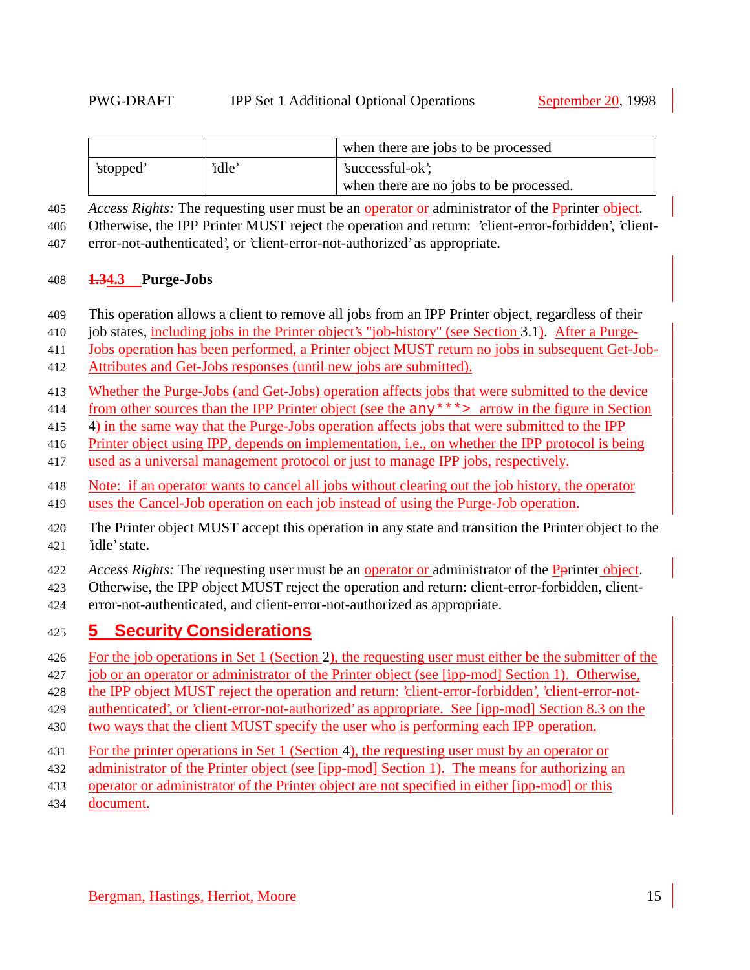|           |       | when there are jobs to be processed     |
|-----------|-------|-----------------------------------------|
| 'stopped' | 'idle | 'successful-ok';                        |
|           |       | when there are no jobs to be processed. |

*Access Rights:* The requesting user must be an operator or administrator of the Pprinter object.

Otherwise, the IPP Printer MUST reject the operation and return: 'client-error-forbidden', 'client-

error-not-authenticated', or 'client-error-not-authorized' as appropriate.

#### **1.34.3 Purge-Jobs**

- This operation allows a client to remove all jobs from an IPP Printer object, regardless of their
- job states, including jobs in the Printer object's "job-history" (see Section 3.1). After a Purge-
- Jobs operation has been performed, a Printer object MUST return no jobs in subsequent Get-Job-
- Attributes and Get-Jobs responses (until new jobs are submitted).
- Whether the Purge-Jobs (and Get-Jobs) operation affects jobs that were submitted to the device
- from other sources than the IPP Printer object (see the any\*\*\*> arrow in the figure in Section
- 4) in the same way that the Purge-Jobs operation affects jobs that were submitted to the IPP
- Printer object using IPP, depends on implementation, i.e., on whether the IPP protocol is being
- used as a universal management protocol or just to manage IPP jobs, respectively.
- Note: if an operator wants to cancel all jobs without clearing out the job history, the operator uses the Cancel-Job operation on each job instead of using the Purge-Job operation.
- The Printer object MUST accept this operation in any state and transition the Printer object to the 'idle' state.
- *Access Rights:* The requesting user must be an operator or administrator of the Pprinter object.
- Otherwise, the IPP object MUST reject the operation and return: client-error-forbidden, client-
- error-not-authenticated, and client-error-not-authorized as appropriate.

## **5 Security Considerations**

- For the job operations in Set 1 (Section 2), the requesting user must either be the submitter of the
- job or an operator or administrator of the Printer object (see [ipp-mod] Section 1). Otherwise,
- the IPP object MUST reject the operation and return: 'client-error-forbidden', 'client-error-not-
- authenticated', or 'client-error-not-authorized' as appropriate. See [ipp-mod] Section 8.3 on the
- two ways that the client MUST specify the user who is performing each IPP operation.
- For the printer operations in Set 1 (Section 4), the requesting user must by an operator or
- administrator of the Printer object (see [ipp-mod] Section 1). The means for authorizing an
- operator or administrator of the Printer object are not specified in either [ipp-mod] or this
- document.